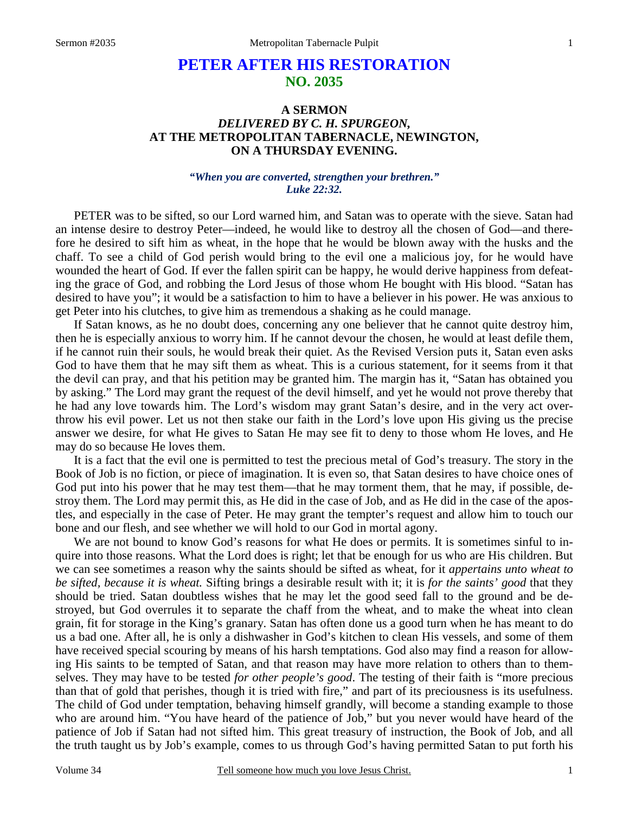# **PETER AFTER HIS RESTORATION NO. 2035**

## **A SERMON**  *DELIVERED BY C. H. SPURGEON,*  **AT THE METROPOLITAN TABERNACLE, NEWINGTON, ON A THURSDAY EVENING.**

### *"When you are converted, strengthen your brethren." Luke 22:32.*

PETER was to be sifted, so our Lord warned him, and Satan was to operate with the sieve. Satan had an intense desire to destroy Peter—indeed, he would like to destroy all the chosen of God—and therefore he desired to sift him as wheat, in the hope that he would be blown away with the husks and the chaff. To see a child of God perish would bring to the evil one a malicious joy, for he would have wounded the heart of God. If ever the fallen spirit can be happy, he would derive happiness from defeating the grace of God, and robbing the Lord Jesus of those whom He bought with His blood. "Satan has desired to have you"; it would be a satisfaction to him to have a believer in his power. He was anxious to get Peter into his clutches, to give him as tremendous a shaking as he could manage.

If Satan knows, as he no doubt does, concerning any one believer that he cannot quite destroy him, then he is especially anxious to worry him. If he cannot devour the chosen, he would at least defile them, if he cannot ruin their souls, he would break their quiet. As the Revised Version puts it, Satan even asks God to have them that he may sift them as wheat. This is a curious statement, for it seems from it that the devil can pray, and that his petition may be granted him. The margin has it, "Satan has obtained you by asking." The Lord may grant the request of the devil himself, and yet he would not prove thereby that he had any love towards him. The Lord's wisdom may grant Satan's desire, and in the very act overthrow his evil power. Let us not then stake our faith in the Lord's love upon His giving us the precise answer we desire, for what He gives to Satan He may see fit to deny to those whom He loves, and He may do so because He loves them.

It is a fact that the evil one is permitted to test the precious metal of God's treasury. The story in the Book of Job is no fiction, or piece of imagination. It is even so, that Satan desires to have choice ones of God put into his power that he may test them—that he may torment them, that he may, if possible, destroy them. The Lord may permit this, as He did in the case of Job, and as He did in the case of the apostles, and especially in the case of Peter. He may grant the tempter's request and allow him to touch our bone and our flesh, and see whether we will hold to our God in mortal agony.

We are not bound to know God's reasons for what He does or permits. It is sometimes sinful to inquire into those reasons. What the Lord does is right; let that be enough for us who are His children. But we can see sometimes a reason why the saints should be sifted as wheat, for it *appertains unto wheat to be sifted, because it is wheat.* Sifting brings a desirable result with it; it is *for the saints' good* that they should be tried. Satan doubtless wishes that he may let the good seed fall to the ground and be destroyed, but God overrules it to separate the chaff from the wheat, and to make the wheat into clean grain, fit for storage in the King's granary. Satan has often done us a good turn when he has meant to do us a bad one. After all, he is only a dishwasher in God's kitchen to clean His vessels, and some of them have received special scouring by means of his harsh temptations. God also may find a reason for allowing His saints to be tempted of Satan, and that reason may have more relation to others than to themselves. They may have to be tested *for other people's good*. The testing of their faith is "more precious than that of gold that perishes, though it is tried with fire," and part of its preciousness is its usefulness. The child of God under temptation, behaving himself grandly, will become a standing example to those who are around him. "You have heard of the patience of Job," but you never would have heard of the patience of Job if Satan had not sifted him. This great treasury of instruction, the Book of Job, and all the truth taught us by Job's example, comes to us through God's having permitted Satan to put forth his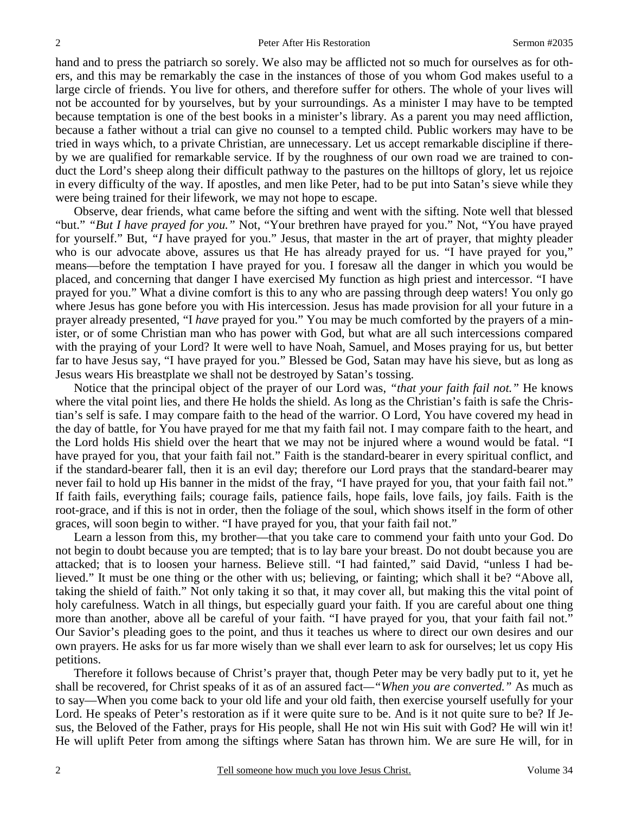hand and to press the patriarch so sorely. We also may be afflicted not so much for ourselves as for others, and this may be remarkably the case in the instances of those of you whom God makes useful to a large circle of friends. You live for others, and therefore suffer for others. The whole of your lives will not be accounted for by yourselves, but by your surroundings. As a minister I may have to be tempted because temptation is one of the best books in a minister's library. As a parent you may need affliction, because a father without a trial can give no counsel to a tempted child. Public workers may have to be tried in ways which, to a private Christian, are unnecessary. Let us accept remarkable discipline if thereby we are qualified for remarkable service. If by the roughness of our own road we are trained to conduct the Lord's sheep along their difficult pathway to the pastures on the hilltops of glory, let us rejoice in every difficulty of the way. If apostles, and men like Peter, had to be put into Satan's sieve while they were being trained for their lifework, we may not hope to escape.

Observe, dear friends, what came before the sifting and went with the sifting. Note well that blessed "but." *"But I have prayed for you."* Not, "Your brethren have prayed for you." Not, "You have prayed for yourself." But, *"I* have prayed for you." Jesus, that master in the art of prayer, that mighty pleader who is our advocate above, assures us that He has already prayed for us. "I have prayed for you," means—before the temptation I have prayed for you. I foresaw all the danger in which you would be placed, and concerning that danger I have exercised My function as high priest and intercessor. "I have prayed for you." What a divine comfort is this to any who are passing through deep waters! You only go where Jesus has gone before you with His intercession. Jesus has made provision for all your future in a prayer already presented, "I *have* prayed for you." You may be much comforted by the prayers of a minister, or of some Christian man who has power with God, but what are all such intercessions compared with the praying of your Lord? It were well to have Noah, Samuel, and Moses praying for us, but better far to have Jesus say, "I have prayed for you." Blessed be God, Satan may have his sieve, but as long as Jesus wears His breastplate we shall not be destroyed by Satan's tossing.

Notice that the principal object of the prayer of our Lord was, *"that your faith fail not."* He knows where the vital point lies, and there He holds the shield. As long as the Christian's faith is safe the Christian's self is safe. I may compare faith to the head of the warrior. O Lord, You have covered my head in the day of battle, for You have prayed for me that my faith fail not. I may compare faith to the heart, and the Lord holds His shield over the heart that we may not be injured where a wound would be fatal. "I have prayed for you, that your faith fail not." Faith is the standard-bearer in every spiritual conflict, and if the standard-bearer fall, then it is an evil day; therefore our Lord prays that the standard-bearer may never fail to hold up His banner in the midst of the fray, "I have prayed for you, that your faith fail not." If faith fails, everything fails; courage fails, patience fails, hope fails, love fails, joy fails. Faith is the root-grace, and if this is not in order, then the foliage of the soul, which shows itself in the form of other graces, will soon begin to wither. "I have prayed for you, that your faith fail not."

Learn a lesson from this, my brother—that you take care to commend your faith unto your God. Do not begin to doubt because you are tempted; that is to lay bare your breast. Do not doubt because you are attacked; that is to loosen your harness. Believe still. "I had fainted," said David, "unless I had believed." It must be one thing or the other with us; believing, or fainting; which shall it be? "Above all, taking the shield of faith." Not only taking it so that, it may cover all, but making this the vital point of holy carefulness. Watch in all things, but especially guard your faith. If you are careful about one thing more than another, above all be careful of your faith. "I have prayed for you, that your faith fail not." Our Savior's pleading goes to the point, and thus it teaches us where to direct our own desires and our own prayers. He asks for us far more wisely than we shall ever learn to ask for ourselves; let us copy His petitions.

Therefore it follows because of Christ's prayer that, though Peter may be very badly put to it, yet he shall be recovered, for Christ speaks of it as of an assured fact*—"When you are converted."* As much as to say—When you come back to your old life and your old faith, then exercise yourself usefully for your Lord. He speaks of Peter's restoration as if it were quite sure to be. And is it not quite sure to be? If Jesus, the Beloved of the Father, prays for His people, shall He not win His suit with God? He will win it! He will uplift Peter from among the siftings where Satan has thrown him. We are sure He will, for in

2

2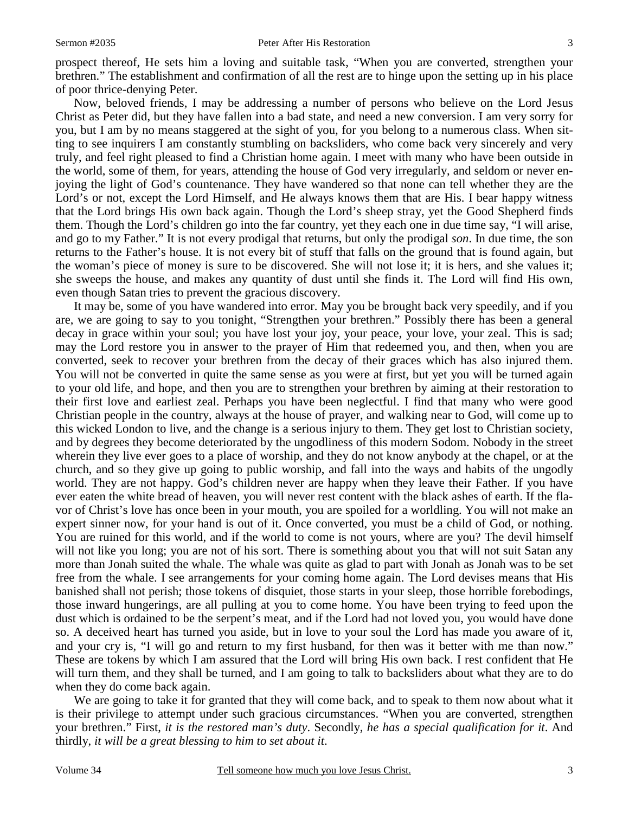prospect thereof, He sets him a loving and suitable task, "When you are converted, strengthen your brethren." The establishment and confirmation of all the rest are to hinge upon the setting up in his place of poor thrice-denying Peter.

Now, beloved friends, I may be addressing a number of persons who believe on the Lord Jesus Christ as Peter did, but they have fallen into a bad state, and need a new conversion. I am very sorry for you, but I am by no means staggered at the sight of you, for you belong to a numerous class. When sitting to see inquirers I am constantly stumbling on backsliders, who come back very sincerely and very truly, and feel right pleased to find a Christian home again. I meet with many who have been outside in the world, some of them, for years, attending the house of God very irregularly, and seldom or never enjoying the light of God's countenance. They have wandered so that none can tell whether they are the Lord's or not, except the Lord Himself, and He always knows them that are His. I bear happy witness that the Lord brings His own back again. Though the Lord's sheep stray, yet the Good Shepherd finds them. Though the Lord's children go into the far country, yet they each one in due time say, "I will arise, and go to my Father." It is not every prodigal that returns, but only the prodigal *son*. In due time, the son returns to the Father's house. It is not every bit of stuff that falls on the ground that is found again, but the woman's piece of money is sure to be discovered. She will not lose it; it is hers, and she values it; she sweeps the house, and makes any quantity of dust until she finds it. The Lord will find His own, even though Satan tries to prevent the gracious discovery.

It may be, some of you have wandered into error. May you be brought back very speedily, and if you are, we are going to say to you tonight, "Strengthen your brethren." Possibly there has been a general decay in grace within your soul; you have lost your joy, your peace, your love, your zeal. This is sad; may the Lord restore you in answer to the prayer of Him that redeemed you, and then, when you are converted, seek to recover your brethren from the decay of their graces which has also injured them. You will not be converted in quite the same sense as you were at first, but yet you will be turned again to your old life, and hope, and then you are to strengthen your brethren by aiming at their restoration to their first love and earliest zeal. Perhaps you have been neglectful. I find that many who were good Christian people in the country, always at the house of prayer, and walking near to God, will come up to this wicked London to live, and the change is a serious injury to them. They get lost to Christian society, and by degrees they become deteriorated by the ungodliness of this modern Sodom. Nobody in the street wherein they live ever goes to a place of worship, and they do not know anybody at the chapel, or at the church, and so they give up going to public worship, and fall into the ways and habits of the ungodly world. They are not happy. God's children never are happy when they leave their Father. If you have ever eaten the white bread of heaven, you will never rest content with the black ashes of earth. If the flavor of Christ's love has once been in your mouth, you are spoiled for a worldling. You will not make an expert sinner now, for your hand is out of it. Once converted, you must be a child of God, or nothing. You are ruined for this world, and if the world to come is not yours, where are you? The devil himself will not like you long; you are not of his sort. There is something about you that will not suit Satan any more than Jonah suited the whale. The whale was quite as glad to part with Jonah as Jonah was to be set free from the whale. I see arrangements for your coming home again. The Lord devises means that His banished shall not perish; those tokens of disquiet, those starts in your sleep, those horrible forebodings, those inward hungerings, are all pulling at you to come home. You have been trying to feed upon the dust which is ordained to be the serpent's meat, and if the Lord had not loved you, you would have done so. A deceived heart has turned you aside, but in love to your soul the Lord has made you aware of it, and your cry is, "I will go and return to my first husband, for then was it better with me than now." These are tokens by which I am assured that the Lord will bring His own back. I rest confident that He will turn them, and they shall be turned, and I am going to talk to backsliders about what they are to do when they do come back again.

We are going to take it for granted that they will come back, and to speak to them now about what it is their privilege to attempt under such gracious circumstances. "When you are converted, strengthen your brethren." First, *it is the restored man's duty*. Secondly, *he has a special qualification for it*. And thirdly, *it will be a great blessing to him to set about it*.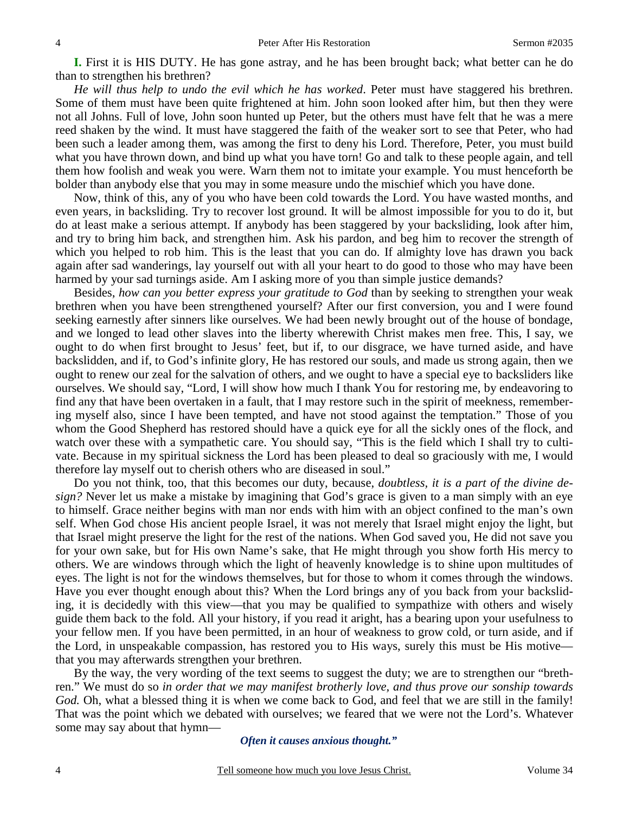**I.** First it is HIS DUTY. He has gone astray, and he has been brought back; what better can he do than to strengthen his brethren?

*He will thus help to undo the evil which he has worked*. Peter must have staggered his brethren. Some of them must have been quite frightened at him. John soon looked after him, but then they were not all Johns. Full of love, John soon hunted up Peter, but the others must have felt that he was a mere reed shaken by the wind. It must have staggered the faith of the weaker sort to see that Peter, who had been such a leader among them, was among the first to deny his Lord. Therefore, Peter, you must build what you have thrown down, and bind up what you have torn! Go and talk to these people again, and tell them how foolish and weak you were. Warn them not to imitate your example. You must henceforth be bolder than anybody else that you may in some measure undo the mischief which you have done.

Now, think of this, any of you who have been cold towards the Lord. You have wasted months, and even years, in backsliding. Try to recover lost ground. It will be almost impossible for you to do it, but do at least make a serious attempt. If anybody has been staggered by your backsliding, look after him, and try to bring him back, and strengthen him. Ask his pardon, and beg him to recover the strength of which you helped to rob him. This is the least that you can do. If almighty love has drawn you back again after sad wanderings, lay yourself out with all your heart to do good to those who may have been harmed by your sad turnings aside. Am I asking more of you than simple justice demands?

Besides, *how can you better express your gratitude to God* than by seeking to strengthen your weak brethren when you have been strengthened yourself? After our first conversion, you and I were found seeking earnestly after sinners like ourselves. We had been newly brought out of the house of bondage, and we longed to lead other slaves into the liberty wherewith Christ makes men free. This, I say, we ought to do when first brought to Jesus' feet, but if, to our disgrace, we have turned aside, and have backslidden, and if, to God's infinite glory, He has restored our souls, and made us strong again, then we ought to renew our zeal for the salvation of others, and we ought to have a special eye to backsliders like ourselves. We should say, "Lord, I will show how much I thank You for restoring me, by endeavoring to find any that have been overtaken in a fault, that I may restore such in the spirit of meekness, remembering myself also, since I have been tempted, and have not stood against the temptation." Those of you whom the Good Shepherd has restored should have a quick eye for all the sickly ones of the flock, and watch over these with a sympathetic care. You should say, "This is the field which I shall try to cultivate. Because in my spiritual sickness the Lord has been pleased to deal so graciously with me, I would therefore lay myself out to cherish others who are diseased in soul."

Do you not think, too, that this becomes our duty, because, *doubtless, it is a part of the divine design?* Never let us make a mistake by imagining that God's grace is given to a man simply with an eye to himself. Grace neither begins with man nor ends with him with an object confined to the man's own self. When God chose His ancient people Israel, it was not merely that Israel might enjoy the light, but that Israel might preserve the light for the rest of the nations. When God saved you, He did not save you for your own sake, but for His own Name's sake, that He might through you show forth His mercy to others. We are windows through which the light of heavenly knowledge is to shine upon multitudes of eyes. The light is not for the windows themselves, but for those to whom it comes through the windows. Have you ever thought enough about this? When the Lord brings any of you back from your backsliding, it is decidedly with this view—that you may be qualified to sympathize with others and wisely guide them back to the fold. All your history, if you read it aright, has a bearing upon your usefulness to your fellow men. If you have been permitted, in an hour of weakness to grow cold, or turn aside, and if the Lord, in unspeakable compassion, has restored you to His ways, surely this must be His motive that you may afterwards strengthen your brethren.

By the way, the very wording of the text seems to suggest the duty; we are to strengthen our "brethren." We must do so *in order that we may manifest brotherly love, and thus prove our sonship towards*  God. Oh, what a blessed thing it is when we come back to God, and feel that we are still in the family! That was the point which we debated with ourselves; we feared that we were not the Lord's. Whatever some may say about that hymn—

#### *Often it causes anxious thought."*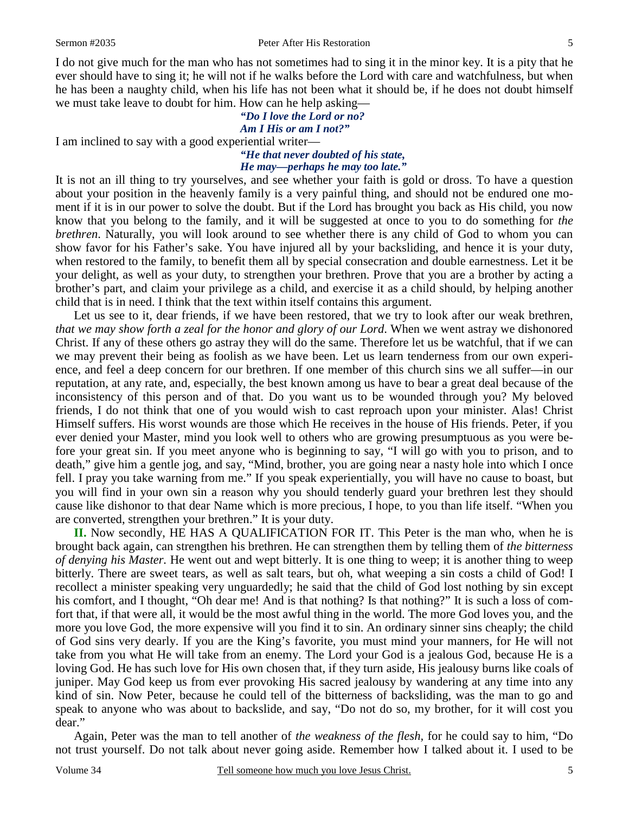I do not give much for the man who has not sometimes had to sing it in the minor key. It is a pity that he ever should have to sing it; he will not if he walks before the Lord with care and watchfulness, but when he has been a naughty child, when his life has not been what it should be, if he does not doubt himself we must take leave to doubt for him. How can he help asking—

# *"Do I love the Lord or no? Am I His or am I not?"*

I am inclined to say with a good experiential writer—

#### *"He that never doubted of his state, He may—perhaps he may too late."*

It is not an ill thing to try yourselves, and see whether your faith is gold or dross. To have a question about your position in the heavenly family is a very painful thing, and should not be endured one moment if it is in our power to solve the doubt. But if the Lord has brought you back as His child, you now know that you belong to the family, and it will be suggested at once to you to do something for *the brethren*. Naturally, you will look around to see whether there is any child of God to whom you can show favor for his Father's sake. You have injured all by your backsliding, and hence it is your duty, when restored to the family, to benefit them all by special consecration and double earnestness. Let it be your delight, as well as your duty, to strengthen your brethren. Prove that you are a brother by acting a brother's part, and claim your privilege as a child, and exercise it as a child should, by helping another child that is in need. I think that the text within itself contains this argument.

Let us see to it, dear friends, if we have been restored, that we try to look after our weak brethren, *that we may show forth a zeal for the honor and glory of our Lord*. When we went astray we dishonored Christ. If any of these others go astray they will do the same. Therefore let us be watchful, that if we can we may prevent their being as foolish as we have been. Let us learn tenderness from our own experience, and feel a deep concern for our brethren. If one member of this church sins we all suffer—in our reputation, at any rate, and, especially, the best known among us have to bear a great deal because of the inconsistency of this person and of that. Do you want us to be wounded through you? My beloved friends, I do not think that one of you would wish to cast reproach upon your minister. Alas! Christ Himself suffers. His worst wounds are those which He receives in the house of His friends. Peter, if you ever denied your Master, mind you look well to others who are growing presumptuous as you were before your great sin. If you meet anyone who is beginning to say, "I will go with you to prison, and to death," give him a gentle jog, and say, "Mind, brother, you are going near a nasty hole into which I once fell. I pray you take warning from me." If you speak experientially, you will have no cause to boast, but you will find in your own sin a reason why you should tenderly guard your brethren lest they should cause like dishonor to that dear Name which is more precious, I hope, to you than life itself. "When you are converted, strengthen your brethren." It is your duty.

**II.** Now secondly, HE HAS A QUALIFICATION FOR IT. This Peter is the man who, when he is brought back again, can strengthen his brethren. He can strengthen them by telling them of *the bitterness of denying his Master.* He went out and wept bitterly. It is one thing to weep; it is another thing to weep bitterly. There are sweet tears, as well as salt tears, but oh, what weeping a sin costs a child of God! I recollect a minister speaking very unguardedly; he said that the child of God lost nothing by sin except his comfort, and I thought, "Oh dear me! And is that nothing? Is that nothing?" It is such a loss of comfort that, if that were all, it would be the most awful thing in the world. The more God loves you, and the more you love God, the more expensive will you find it to sin. An ordinary sinner sins cheaply; the child of God sins very dearly. If you are the King's favorite, you must mind your manners, for He will not take from you what He will take from an enemy. The Lord your God is a jealous God, because He is a loving God. He has such love for His own chosen that, if they turn aside, His jealousy burns like coals of juniper. May God keep us from ever provoking His sacred jealousy by wandering at any time into any kind of sin. Now Peter, because he could tell of the bitterness of backsliding, was the man to go and speak to anyone who was about to backslide, and say, "Do not do so, my brother, for it will cost you dear."

Again, Peter was the man to tell another of *the weakness of the flesh,* for he could say to him, "Do not trust yourself. Do not talk about never going aside. Remember how I talked about it. I used to be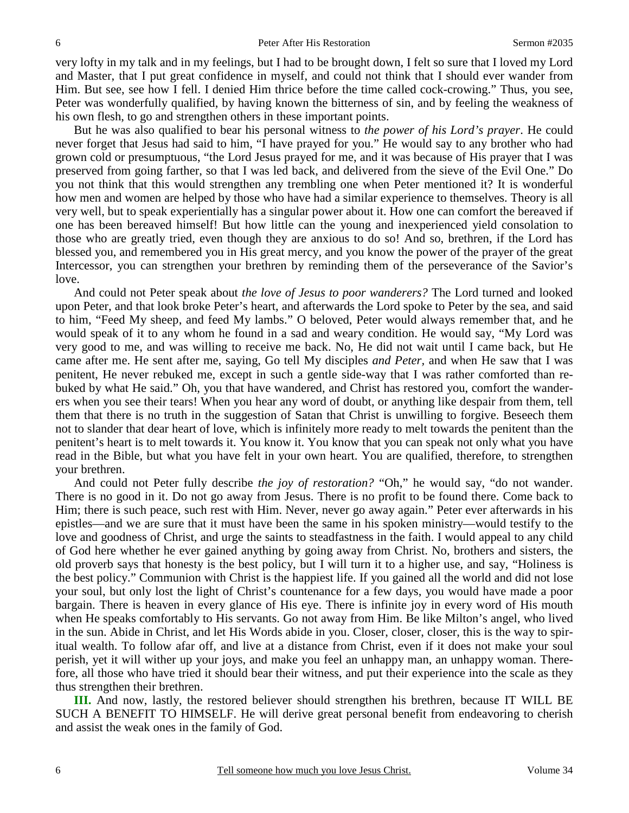very lofty in my talk and in my feelings, but I had to be brought down, I felt so sure that I loved my Lord and Master, that I put great confidence in myself, and could not think that I should ever wander from Him. But see, see how I fell. I denied Him thrice before the time called cock-crowing." Thus, you see, Peter was wonderfully qualified, by having known the bitterness of sin, and by feeling the weakness of his own flesh, to go and strengthen others in these important points.

But he was also qualified to bear his personal witness to *the power of his Lord's prayer*. He could never forget that Jesus had said to him, "I have prayed for you." He would say to any brother who had grown cold or presumptuous, "the Lord Jesus prayed for me, and it was because of His prayer that I was preserved from going farther, so that I was led back, and delivered from the sieve of the Evil One." Do you not think that this would strengthen any trembling one when Peter mentioned it? It is wonderful how men and women are helped by those who have had a similar experience to themselves. Theory is all very well, but to speak experientially has a singular power about it. How one can comfort the bereaved if one has been bereaved himself! But how little can the young and inexperienced yield consolation to those who are greatly tried, even though they are anxious to do so! And so, brethren, if the Lord has blessed you, and remembered you in His great mercy, and you know the power of the prayer of the great Intercessor, you can strengthen your brethren by reminding them of the perseverance of the Savior's love.

And could not Peter speak about *the love of Jesus to poor wanderers?* The Lord turned and looked upon Peter, and that look broke Peter's heart, and afterwards the Lord spoke to Peter by the sea, and said to him, "Feed My sheep, and feed My lambs." O beloved, Peter would always remember that, and he would speak of it to any whom he found in a sad and weary condition. He would say, "My Lord was very good to me, and was willing to receive me back. No, He did not wait until I came back, but He came after me. He sent after me, saying, Go tell My disciples *and Peter,* and when He saw that I was penitent, He never rebuked me, except in such a gentle side-way that I was rather comforted than rebuked by what He said." Oh, you that have wandered, and Christ has restored you, comfort the wanderers when you see their tears! When you hear any word of doubt, or anything like despair from them, tell them that there is no truth in the suggestion of Satan that Christ is unwilling to forgive. Beseech them not to slander that dear heart of love, which is infinitely more ready to melt towards the penitent than the penitent's heart is to melt towards it. You know it. You know that you can speak not only what you have read in the Bible, but what you have felt in your own heart. You are qualified, therefore, to strengthen your brethren.

And could not Peter fully describe *the joy of restoration?* "Oh," he would say, "do not wander. There is no good in it. Do not go away from Jesus. There is no profit to be found there. Come back to Him; there is such peace, such rest with Him. Never, never go away again." Peter ever afterwards in his epistles—and we are sure that it must have been the same in his spoken ministry—would testify to the love and goodness of Christ, and urge the saints to steadfastness in the faith. I would appeal to any child of God here whether he ever gained anything by going away from Christ. No, brothers and sisters, the old proverb says that honesty is the best policy, but I will turn it to a higher use, and say, "Holiness is the best policy." Communion with Christ is the happiest life. If you gained all the world and did not lose your soul, but only lost the light of Christ's countenance for a few days, you would have made a poor bargain. There is heaven in every glance of His eye. There is infinite joy in every word of His mouth when He speaks comfortably to His servants. Go not away from Him. Be like Milton's angel, who lived in the sun. Abide in Christ, and let His Words abide in you. Closer, closer, closer, this is the way to spiritual wealth. To follow afar off, and live at a distance from Christ, even if it does not make your soul perish, yet it will wither up your joys, and make you feel an unhappy man, an unhappy woman. Therefore, all those who have tried it should bear their witness, and put their experience into the scale as they thus strengthen their brethren.

**III.** And now, lastly, the restored believer should strengthen his brethren, because IT WILL BE SUCH A BENEFIT TO HIMSELF. He will derive great personal benefit from endeavoring to cherish and assist the weak ones in the family of God.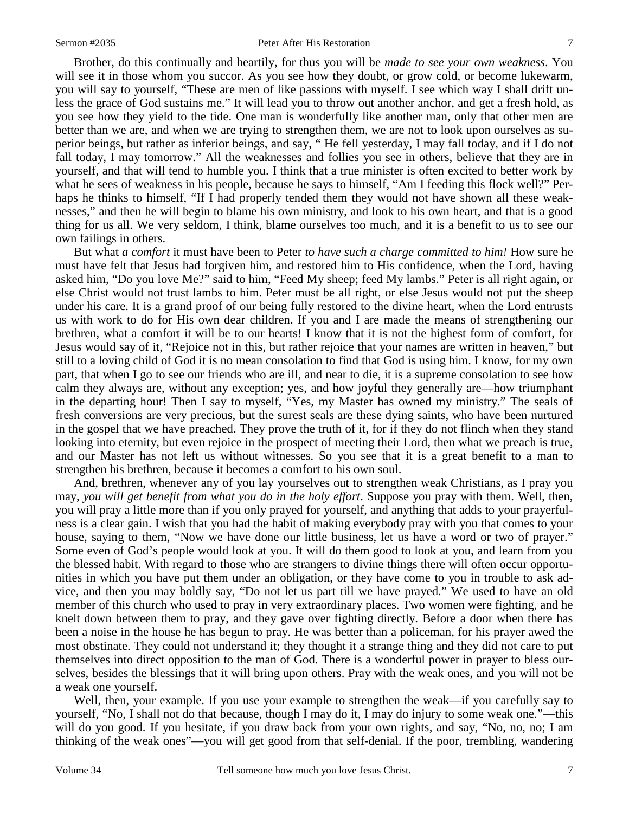#### Sermon #2035 Peter After His Restoration

7

Brother, do this continually and heartily, for thus you will be *made to see your own weakness*. You will see it in those whom you succor. As you see how they doubt, or grow cold, or become lukewarm, you will say to yourself, "These are men of like passions with myself. I see which way I shall drift unless the grace of God sustains me." It will lead you to throw out another anchor, and get a fresh hold, as you see how they yield to the tide. One man is wonderfully like another man, only that other men are better than we are, and when we are trying to strengthen them, we are not to look upon ourselves as superior beings, but rather as inferior beings, and say, " He fell yesterday, I may fall today, and if I do not fall today, I may tomorrow." All the weaknesses and follies you see in others, believe that they are in yourself, and that will tend to humble you. I think that a true minister is often excited to better work by what he sees of weakness in his people, because he says to himself, "Am I feeding this flock well?" Perhaps he thinks to himself, "If I had properly tended them they would not have shown all these weaknesses," and then he will begin to blame his own ministry, and look to his own heart, and that is a good thing for us all. We very seldom, I think, blame ourselves too much, and it is a benefit to us to see our own failings in others.

But what *a comfort* it must have been to Peter *to have such a charge committed to him!* How sure he must have felt that Jesus had forgiven him, and restored him to His confidence, when the Lord, having asked him, "Do you love Me?" said to him, "Feed My sheep; feed My lambs." Peter is all right again, or else Christ would not trust lambs to him. Peter must be all right, or else Jesus would not put the sheep under his care. It is a grand proof of our being fully restored to the divine heart, when the Lord entrusts us with work to do for His own dear children. If you and I are made the means of strengthening our brethren, what a comfort it will be to our hearts! I know that it is not the highest form of comfort, for Jesus would say of it, "Rejoice not in this, but rather rejoice that your names are written in heaven," but still to a loving child of God it is no mean consolation to find that God is using him. I know, for my own part, that when I go to see our friends who are ill, and near to die, it is a supreme consolation to see how calm they always are, without any exception; yes, and how joyful they generally are—how triumphant in the departing hour! Then I say to myself, "Yes, my Master has owned my ministry." The seals of fresh conversions are very precious, but the surest seals are these dying saints, who have been nurtured in the gospel that we have preached. They prove the truth of it, for if they do not flinch when they stand looking into eternity, but even rejoice in the prospect of meeting their Lord, then what we preach is true, and our Master has not left us without witnesses. So you see that it is a great benefit to a man to strengthen his brethren, because it becomes a comfort to his own soul.

And, brethren, whenever any of you lay yourselves out to strengthen weak Christians, as I pray you may, *you will get benefit from what you do in the holy effort*. Suppose you pray with them. Well, then, you will pray a little more than if you only prayed for yourself, and anything that adds to your prayerfulness is a clear gain. I wish that you had the habit of making everybody pray with you that comes to your house, saying to them, "Now we have done our little business, let us have a word or two of prayer." Some even of God's people would look at you. It will do them good to look at you, and learn from you the blessed habit. With regard to those who are strangers to divine things there will often occur opportunities in which you have put them under an obligation, or they have come to you in trouble to ask advice, and then you may boldly say, "Do not let us part till we have prayed." We used to have an old member of this church who used to pray in very extraordinary places. Two women were fighting, and he knelt down between them to pray, and they gave over fighting directly. Before a door when there has been a noise in the house he has begun to pray. He was better than a policeman, for his prayer awed the most obstinate. They could not understand it; they thought it a strange thing and they did not care to put themselves into direct opposition to the man of God. There is a wonderful power in prayer to bless ourselves, besides the blessings that it will bring upon others. Pray with the weak ones, and you will not be a weak one yourself.

Well, then, your example. If you use your example to strengthen the weak—if you carefully say to yourself, "No, I shall not do that because, though I may do it, I may do injury to some weak one."—this will do you good. If you hesitate, if you draw back from your own rights, and say, "No, no, no; I am thinking of the weak ones"—you will get good from that self-denial. If the poor, trembling, wandering